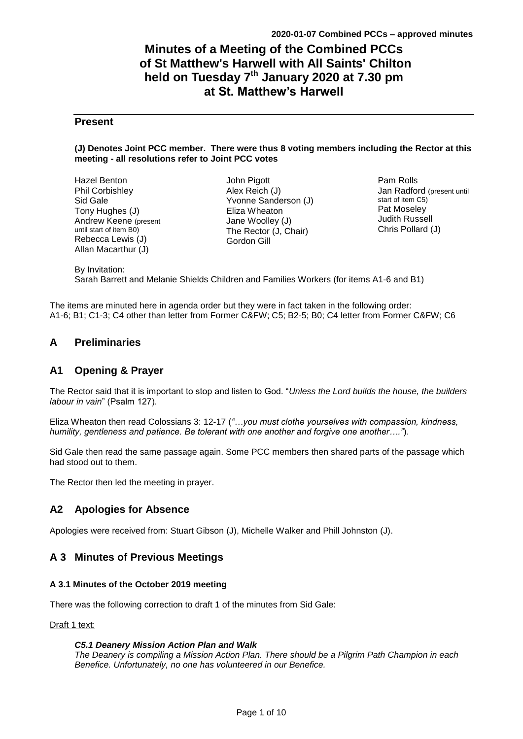## **Minutes of a Meeting of the Combined PCCs of St Matthew's Harwell with All Saints' Chilton held on Tuesday 7 th January 2020 at 7.30 pm at St. Matthew's Harwell**

### **Present**

#### **(J) Denotes Joint PCC member. There were thus 8 voting members including the Rector at this meeting - all resolutions refer to Joint PCC votes**

Hazel Benton Phil Corbishley Sid Gale Tony Hughes (J) Andrew Keene (present until start of item B0) Rebecca Lewis (J) Allan Macarthur (J)

John Pigott Alex Reich (J) Yvonne Sanderson (J) Eliza Wheaton Jane Woolley (J) The Rector (J, Chair) Gordon Gill

Pam Rolls Jan Radford (present until start of item C5) Pat Moseley Judith Russell Chris Pollard (J)

# By Invitation:

Sarah Barrett and Melanie Shields Children and Families Workers (for items A1-6 and B1)

The items are minuted here in agenda order but they were in fact taken in the following order: A1-6; B1; C1-3; C4 other than letter from Former C&FW; C5; B2-5; B0; C4 letter from Former C&FW; C6

### **A Preliminaries**

### **A1 Opening & Prayer**

The Rector said that it is important to stop and listen to God. "*Unless the Lord builds the house, the builders labour in vain*" (Psalm 127).

Eliza Wheaton then read Colossians 3: 12-17 (*"…you must clothe yourselves with compassion, kindness, humility, gentleness and patience. Be tolerant with one another and forgive one another…."*).

Sid Gale then read the same passage again. Some PCC members then shared parts of the passage which had stood out to them.

The Rector then led the meeting in prayer.

### **A2 Apologies for Absence**

Apologies were received from: Stuart Gibson (J), Michelle Walker and Phill Johnston (J).

### **A 3 Minutes of Previous Meetings**

#### **A 3.1 Minutes of the October 2019 meeting**

There was the following correction to draft 1 of the minutes from Sid Gale:

#### Draft 1 text:

*C5.1 Deanery Mission Action Plan and Walk* 

*The Deanery is compiling a Mission Action Plan. There should be a Pilgrim Path Champion in each Benefice. Unfortunately, no one has volunteered in our Benefice.*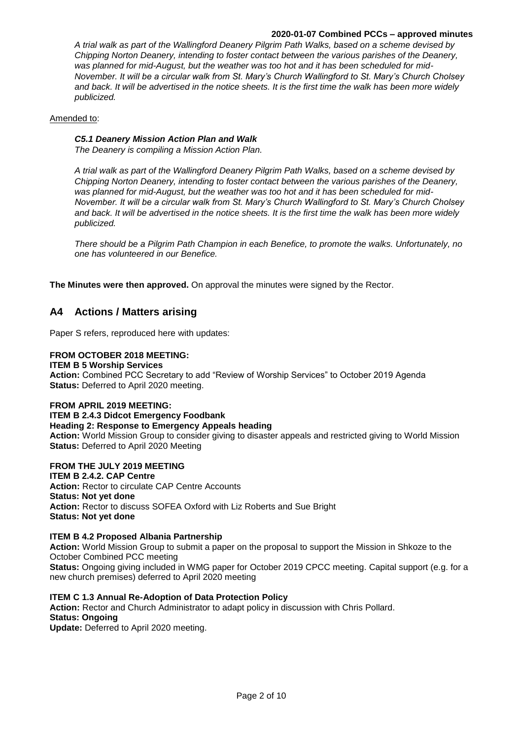*A trial walk as part of the Wallingford Deanery Pilgrim Path Walks, based on a scheme devised by Chipping Norton Deanery, intending to foster contact between the various parishes of the Deanery, was planned for mid-August, but the weather was too hot and it has been scheduled for mid-November. It will be a circular walk from St. Mary's Church Wallingford to St. Mary's Church Cholsey and back. It will be advertised in the notice sheets. It is the first time the walk has been more widely publicized.*

#### Amended to:

#### *C5.1 Deanery Mission Action Plan and Walk*

*The Deanery is compiling a Mission Action Plan.* 

*A trial walk as part of the Wallingford Deanery Pilgrim Path Walks, based on a scheme devised by Chipping Norton Deanery, intending to foster contact between the various parishes of the Deanery, was planned for mid-August, but the weather was too hot and it has been scheduled for mid-November. It will be a circular walk from St. Mary's Church Wallingford to St. Mary's Church Cholsey and back. It will be advertised in the notice sheets. It is the first time the walk has been more widely publicized.*

*There should be a Pilgrim Path Champion in each Benefice, to promote the walks. Unfortunately, no one has volunteered in our Benefice.*

**The Minutes were then approved.** On approval the minutes were signed by the Rector.

### **A4 Actions / Matters arising**

Paper S refers, reproduced here with updates:

#### **FROM OCTOBER 2018 MEETING:**

#### **ITEM B 5 Worship Services**

**Action:** Combined PCC Secretary to add "Review of Worship Services" to October 2019 Agenda **Status:** Deferred to April 2020 meeting.

#### **FROM APRIL 2019 MEETING:**

#### **ITEM B 2.4.3 Didcot Emergency Foodbank**

#### **Heading 2: Response to Emergency Appeals heading**

**Action:** World Mission Group to consider giving to disaster appeals and restricted giving to World Mission **Status:** Deferred to April 2020 Meeting

#### **FROM THE JULY 2019 MEETING**

### **ITEM B 2.4.2. CAP Centre**

**Action:** Rector to circulate CAP Centre Accounts **Status: Not yet done Action:** Rector to discuss SOFEA Oxford with Liz Roberts and Sue Bright **Status: Not yet done** 

#### **ITEM B 4.2 Proposed Albania Partnership**

**Action:** World Mission Group to submit a paper on the proposal to support the Mission in Shkoze to the October Combined PCC meeting

**Status:** Ongoing giving included in WMG paper for October 2019 CPCC meeting. Capital support (e.g. for a new church premises) deferred to April 2020 meeting

#### **ITEM C 1.3 Annual Re-Adoption of Data Protection Policy**

**Action:** Rector and Church Administrator to adapt policy in discussion with Chris Pollard. **Status: Ongoing** 

**Update:** Deferred to April 2020 meeting.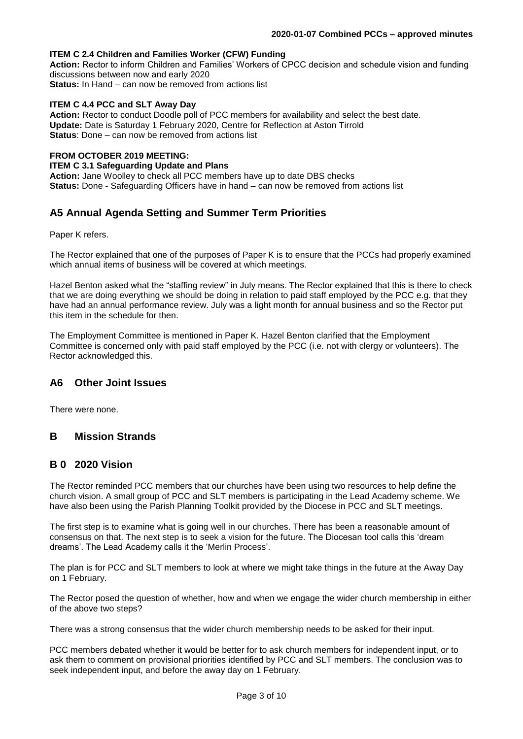#### **ITEM C 2.4 Children and Families Worker (CFW) Funding**

**Action:** Rector to inform Children and Families' Workers of CPCC decision and schedule vision and funding discussions between now and early 2020 **Status:** In Hand – can now be removed from actions list

#### **ITEM C 4.4 PCC and SLT Away Day**

**Action:** Rector to conduct Doodle poll of PCC members for availability and select the best date. **Update:** Date is Saturday 1 February 2020, Centre for Reflection at Aston Tirrold **Status**: Done – can now be removed from actions list

#### **FROM OCTOBER 2019 MEETING:**

**ITEM C 3.1 Safeguarding Update and Plans** 

**Action:** Jane Woolley to check all PCC members have up to date DBS checks **Status:** Done - Safeguarding Officers have in hand – can now be removed from actions list

### **A5 Annual Agenda Setting and Summer Term Priorities**

Paper K refers.

The Rector explained that one of the purposes of Paper K is to ensure that the PCCs had properly examined which annual items of business will be covered at which meetings.

Hazel Benton asked what the "staffing review" in July means. The Rector explained that this is there to check that we are doing everything we should be doing in relation to paid staff employed by the PCC e.g. that they have had an annual performance review. July was a light month for annual business and so the Rector put this item in the schedule for then.

The Employment Committee is mentioned in Paper K. Hazel Benton clarified that the Employment Committee is concerned only with paid staff employed by the PCC (i.e. not with clergy or volunteers). The Rector acknowledged this.

### **A6 Other Joint Issues**

There were none.

### **B Mission Strands**

#### **B 0 2020 Vision**

The Rector reminded PCC members that our churches have been using two resources to help define the church vision. A small group of PCC and SLT members is participating in the Lead Academy scheme. We have also been using the Parish Planning Toolkit provided by the Diocese in PCC and SLT meetings.

The first step is to examine what is going well in our churches. There has been a reasonable amount of consensus on that. The next step is to seek a vision for the future. The Diocesan tool calls this 'dream dreams'. The Lead Academy calls it the 'Merlin Process'.

The plan is for PCC and SLT members to look at where we might take things in the future at the Away Day on 1 February.

The Rector posed the question of whether, how and when we engage the wider church membership in either of the above two steps?

There was a strong consensus that the wider church membership needs to be asked for their input.

PCC members debated whether it would be better for to ask church members for independent input, or to ask them to comment on provisional priorities identified by PCC and SLT members. The conclusion was to seek independent input, and before the away day on 1 February.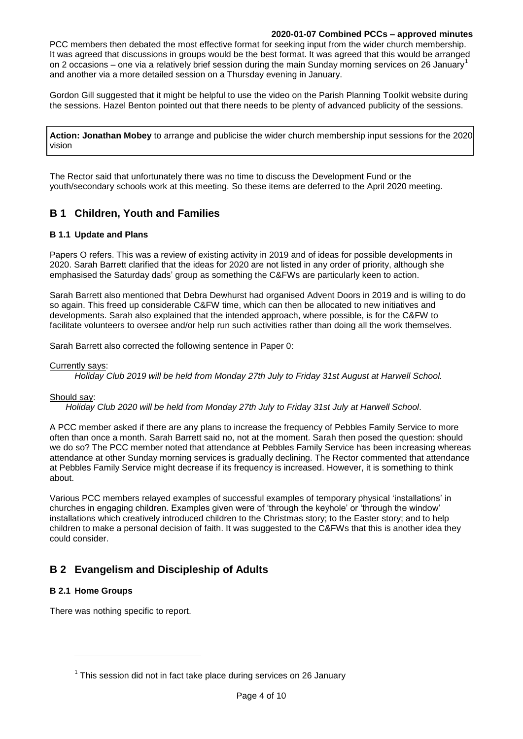PCC members then debated the most effective format for seeking input from the wider church membership. It was agreed that discussions in groups would be the best format. It was agreed that this would be arranged on 2 occasions – one via a relatively brief session during the main Sunday morning services on 26 January<sup>1</sup> and another via a more detailed session on a Thursday evening in January.

Gordon Gill suggested that it might be helpful to use the video on the Parish Planning Toolkit website during the sessions. Hazel Benton pointed out that there needs to be plenty of advanced publicity of the sessions.

**Action: Jonathan Mobey** to arrange and publicise the wider church membership input sessions for the 2020 vision

The Rector said that unfortunately there was no time to discuss the Development Fund or the youth/secondary schools work at this meeting. So these items are deferred to the April 2020 meeting.

### **B 1 Children, Youth and Families**

#### **B 1.1 Update and Plans**

Papers O refers. This was a review of existing activity in 2019 and of ideas for possible developments in 2020. Sarah Barrett clarified that the ideas for 2020 are not listed in any order of priority, although she emphasised the Saturday dads' group as something the C&FWs are particularly keen to action.

Sarah Barrett also mentioned that Debra Dewhurst had organised Advent Doors in 2019 and is willing to do so again. This freed up considerable C&FW time, which can then be allocated to new initiatives and developments. Sarah also explained that the intended approach, where possible, is for the C&FW to facilitate volunteers to oversee and/or help run such activities rather than doing all the work themselves.

Sarah Barrett also corrected the following sentence in Paper 0:

Currently says:

*Holiday Club 2019 will be held from Monday 27th July to Friday 31st August at Harwell School.* 

#### Should say:

*Holiday Club 2020 will be held from Monday 27th July to Friday 31st July at Harwell School*.

A PCC member asked if there are any plans to increase the frequency of Pebbles Family Service to more often than once a month. Sarah Barrett said no, not at the moment. Sarah then posed the question: should we do so? The PCC member noted that attendance at Pebbles Family Service has been increasing whereas attendance at other Sunday morning services is gradually declining. The Rector commented that attendance at Pebbles Family Service might decrease if its frequency is increased. However, it is something to think about.

Various PCC members relayed examples of successful examples of temporary physical 'installations' in churches in engaging children. Examples given were of 'through the keyhole' or 'through the window' installations which creatively introduced children to the Christmas story; to the Easter story; and to help children to make a personal decision of faith. It was suggested to the C&FWs that this is another idea they could consider.

### **B 2 Evangelism and Discipleship of Adults**

#### **B 2.1 Home Groups**

l

There was nothing specific to report.

 $1$  This session did not in fact take place during services on 26 January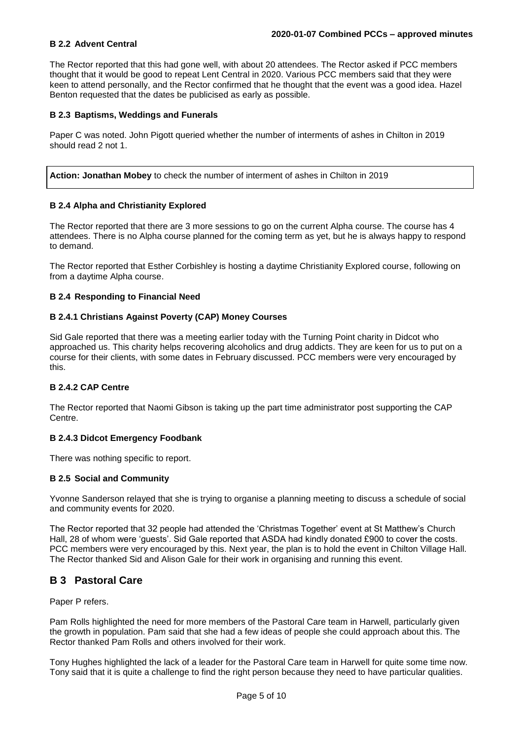#### **B 2.2 Advent Central**

The Rector reported that this had gone well, with about 20 attendees. The Rector asked if PCC members thought that it would be good to repeat Lent Central in 2020. Various PCC members said that they were keen to attend personally, and the Rector confirmed that he thought that the event was a good idea. Hazel Benton requested that the dates be publicised as early as possible.

#### **B 2.3 Baptisms, Weddings and Funerals**

Paper C was noted. John Pigott queried whether the number of interments of ashes in Chilton in 2019 should read 2 not 1.

**Action: Jonathan Mobey** to check the number of interment of ashes in Chilton in 2019

#### **B 2.4 Alpha and Christianity Explored**

The Rector reported that there are 3 more sessions to go on the current Alpha course. The course has 4 attendees. There is no Alpha course planned for the coming term as yet, but he is always happy to respond to demand.

The Rector reported that Esther Corbishley is hosting a daytime Christianity Explored course, following on from a daytime Alpha course.

#### **B 2.4 Responding to Financial Need**

#### **B 2.4.1 Christians Against Poverty (CAP) Money Courses**

Sid Gale reported that there was a meeting earlier today with the Turning Point charity in Didcot who approached us. This charity helps recovering alcoholics and drug addicts. They are keen for us to put on a course for their clients, with some dates in February discussed. PCC members were very encouraged by this.

#### **B 2.4.2 CAP Centre**

The Rector reported that Naomi Gibson is taking up the part time administrator post supporting the CAP Centre.

#### **B 2.4.3 Didcot Emergency Foodbank**

There was nothing specific to report.

#### **B 2.5 Social and Community**

Yvonne Sanderson relayed that she is trying to organise a planning meeting to discuss a schedule of social and community events for 2020.

The Rector reported that 32 people had attended the 'Christmas Together' event at St Matthew's Church Hall, 28 of whom were 'guests'. Sid Gale reported that ASDA had kindly donated £900 to cover the costs. PCC members were very encouraged by this. Next year, the plan is to hold the event in Chilton Village Hall. The Rector thanked Sid and Alison Gale for their work in organising and running this event.

### **B 3 Pastoral Care**

Paper P refers.

Pam Rolls highlighted the need for more members of the Pastoral Care team in Harwell, particularly given the growth in population. Pam said that she had a few ideas of people she could approach about this. The Rector thanked Pam Rolls and others involved for their work.

Tony Hughes highlighted the lack of a leader for the Pastoral Care team in Harwell for quite some time now. Tony said that it is quite a challenge to find the right person because they need to have particular qualities.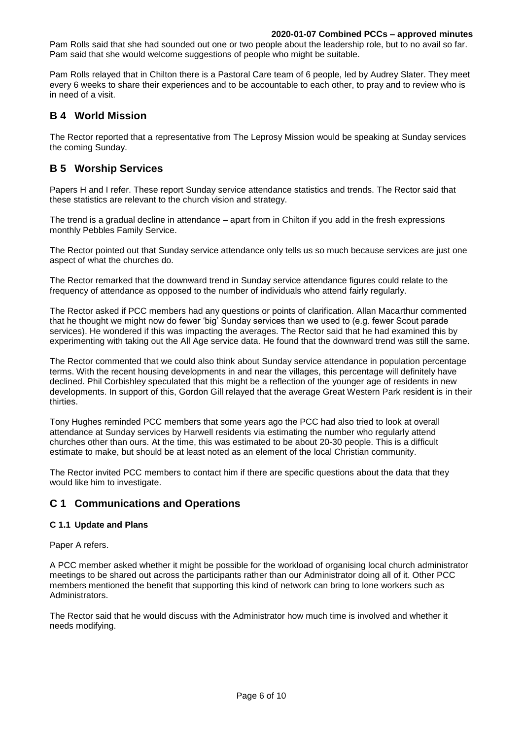Pam Rolls said that she had sounded out one or two people about the leadership role, but to no avail so far. Pam said that she would welcome suggestions of people who might be suitable.

Pam Rolls relayed that in Chilton there is a Pastoral Care team of 6 people, led by Audrey Slater. They meet every 6 weeks to share their experiences and to be accountable to each other, to pray and to review who is in need of a visit.

### **B 4 World Mission**

The Rector reported that a representative from The Leprosy Mission would be speaking at Sunday services the coming Sunday.

### **B 5 Worship Services**

Papers H and I refer. These report Sunday service attendance statistics and trends. The Rector said that these statistics are relevant to the church vision and strategy.

The trend is a gradual decline in attendance – apart from in Chilton if you add in the fresh expressions monthly Pebbles Family Service.

The Rector pointed out that Sunday service attendance only tells us so much because services are just one aspect of what the churches do.

The Rector remarked that the downward trend in Sunday service attendance figures could relate to the frequency of attendance as opposed to the number of individuals who attend fairly regularly.

The Rector asked if PCC members had any questions or points of clarification. Allan Macarthur commented that he thought we might now do fewer 'big' Sunday services than we used to (e.g. fewer Scout parade services). He wondered if this was impacting the averages. The Rector said that he had examined this by experimenting with taking out the All Age service data. He found that the downward trend was still the same.

The Rector commented that we could also think about Sunday service attendance in population percentage terms. With the recent housing developments in and near the villages, this percentage will definitely have declined. Phil Corbishley speculated that this might be a reflection of the younger age of residents in new developments. In support of this, Gordon Gill relayed that the average Great Western Park resident is in their thirties.

Tony Hughes reminded PCC members that some years ago the PCC had also tried to look at overall attendance at Sunday services by Harwell residents via estimating the number who regularly attend churches other than ours. At the time, this was estimated to be about 20-30 people. This is a difficult estimate to make, but should be at least noted as an element of the local Christian community.

The Rector invited PCC members to contact him if there are specific questions about the data that they would like him to investigate.

### **C 1 Communications and Operations**

#### **C 1.1 Update and Plans**

Paper A refers.

A PCC member asked whether it might be possible for the workload of organising local church administrator meetings to be shared out across the participants rather than our Administrator doing all of it. Other PCC members mentioned the benefit that supporting this kind of network can bring to lone workers such as Administrators.

The Rector said that he would discuss with the Administrator how much time is involved and whether it needs modifying.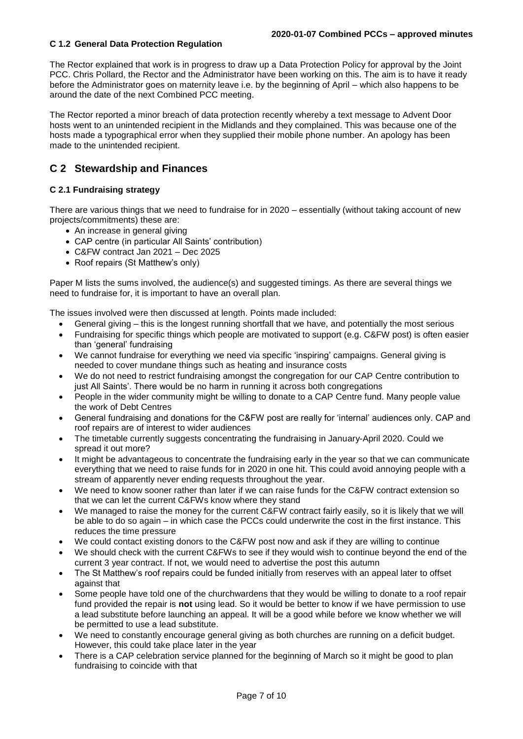#### **C 1.2 General Data Protection Regulation**

The Rector explained that work is in progress to draw up a Data Protection Policy for approval by the Joint PCC. Chris Pollard, the Rector and the Administrator have been working on this. The aim is to have it ready before the Administrator goes on maternity leave i.e. by the beginning of April – which also happens to be around the date of the next Combined PCC meeting.

The Rector reported a minor breach of data protection recently whereby a text message to Advent Door hosts went to an unintended recipient in the Midlands and they complained. This was because one of the hosts made a typographical error when they supplied their mobile phone number. An apology has been made to the unintended recipient.

### **C 2 Stewardship and Finances**

#### **C 2.1 Fundraising strategy**

There are various things that we need to fundraise for in 2020 – essentially (without taking account of new projects/commitments) these are:

- An increase in general giving
- CAP centre (in particular All Saints' contribution)
- C&FW contract Jan 2021 Dec 2025
- Roof repairs (St Matthew's only)

Paper M lists the sums involved, the audience(s) and suggested timings. As there are several things we need to fundraise for, it is important to have an overall plan.

The issues involved were then discussed at length. Points made included:

- General giving this is the longest running shortfall that we have, and potentially the most serious
- Fundraising for specific things which people are motivated to support (e.g. C&FW post) is often easier than 'general' fundraising
- We cannot fundraise for everything we need via specific 'inspiring' campaigns. General giving is needed to cover mundane things such as heating and insurance costs
- We do not need to restrict fundraising amongst the congregation for our CAP Centre contribution to just All Saints'. There would be no harm in running it across both congregations
- People in the wider community might be willing to donate to a CAP Centre fund. Many people value the work of Debt Centres
- General fundraising and donations for the C&FW post are really for 'internal' audiences only. CAP and roof repairs are of interest to wider audiences
- The timetable currently suggests concentrating the fundraising in January-April 2020. Could we spread it out more?
- It might be advantageous to concentrate the fundraising early in the year so that we can communicate everything that we need to raise funds for in 2020 in one hit. This could avoid annoying people with a stream of apparently never ending requests throughout the year.
- We need to know sooner rather than later if we can raise funds for the C&FW contract extension so that we can let the current C&FWs know where they stand
- We managed to raise the money for the current C&FW contract fairly easily, so it is likely that we will be able to do so again – in which case the PCCs could underwrite the cost in the first instance. This reduces the time pressure
- We could contact existing donors to the C&FW post now and ask if they are willing to continue
- We should check with the current C&FWs to see if they would wish to continue beyond the end of the current 3 year contract. If not, we would need to advertise the post this autumn
- The St Matthew's roof repairs could be funded initially from reserves with an appeal later to offset against that
- Some people have told one of the churchwardens that they would be willing to donate to a roof repair fund provided the repair is **not** using lead. So it would be better to know if we have permission to use a lead substitute before launching an appeal. It will be a good while before we know whether we will be permitted to use a lead substitute.
- We need to constantly encourage general giving as both churches are running on a deficit budget. However, this could take place later in the year
- There is a CAP celebration service planned for the beginning of March so it might be good to plan fundraising to coincide with that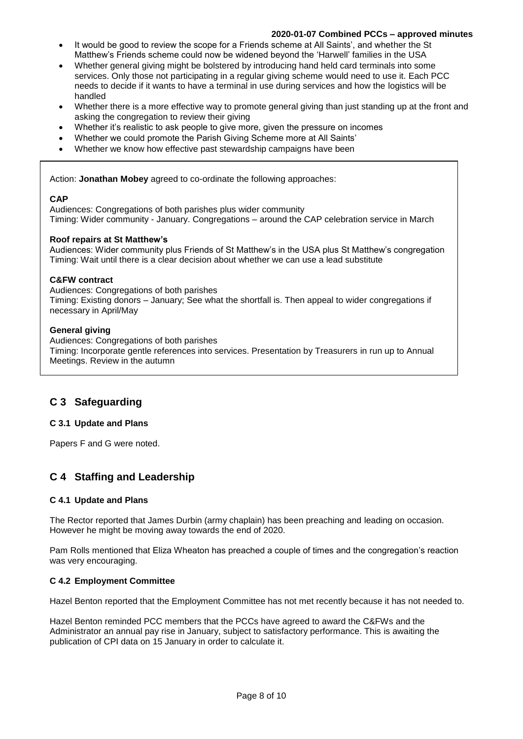- It would be good to review the scope for a Friends scheme at All Saints', and whether the St Matthew's Friends scheme could now be widened beyond the 'Harwell' families in the USA
- Whether general giving might be bolstered by introducing hand held card terminals into some services. Only those not participating in a regular giving scheme would need to use it. Each PCC needs to decide if it wants to have a terminal in use during services and how the logistics will be handled
- Whether there is a more effective way to promote general giving than just standing up at the front and asking the congregation to review their giving
- Whether it's realistic to ask people to give more, given the pressure on incomes
- Whether we could promote the Parish Giving Scheme more at All Saints'
- Whether we know how effective past stewardship campaigns have been

Action: **Jonathan Mobey** agreed to co-ordinate the following approaches:

#### **CAP**

Audiences: Congregations of both parishes plus wider community Timing: Wider community - January. Congregations – around the CAP celebration service in March

#### **Roof repairs at St Matthew's**

Audiences: Wider community plus Friends of St Matthew's in the USA plus St Matthew's congregation Timing: Wait until there is a clear decision about whether we can use a lead substitute

#### **C&FW contract**

Audiences: Congregations of both parishes Timing: Existing donors – January; See what the shortfall is. Then appeal to wider congregations if necessary in April/May

#### **General giving**

Audiences: Congregations of both parishes

Timing: Incorporate gentle references into services. Presentation by Treasurers in run up to Annual Meetings. Review in the autumn

### **C 3 Safeguarding**

#### **C 3.1 Update and Plans**

Papers F and G were noted.

### **C 4 Staffing and Leadership**

#### **C 4.1 Update and Plans**

The Rector reported that James Durbin (army chaplain) has been preaching and leading on occasion. However he might be moving away towards the end of 2020.

Pam Rolls mentioned that Eliza Wheaton has preached a couple of times and the congregation's reaction was very encouraging.

#### **C 4.2 Employment Committee**

Hazel Benton reported that the Employment Committee has not met recently because it has not needed to.

Hazel Benton reminded PCC members that the PCCs have agreed to award the C&FWs and the Administrator an annual pay rise in January, subject to satisfactory performance. This is awaiting the publication of CPI data on 15 January in order to calculate it.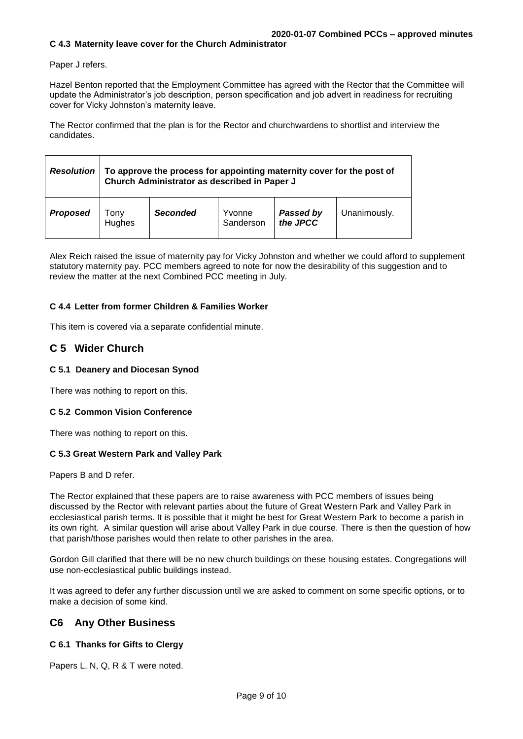Paper J refers.

Hazel Benton reported that the Employment Committee has agreed with the Rector that the Committee will update the Administrator's job description, person specification and job advert in readiness for recruiting cover for Vicky Johnston's maternity leave.

The Rector confirmed that the plan is for the Rector and churchwardens to shortlist and interview the candidates.

| <b>Resolution</b> | To approve the process for appointing maternity cover for the post of<br>Church Administrator as described in Paper J |                 |                     |                       |              |
|-------------------|-----------------------------------------------------------------------------------------------------------------------|-----------------|---------------------|-----------------------|--------------|
| <b>Proposed</b>   | ony<br>Hughes                                                                                                         | <b>Seconded</b> | Yvonne<br>Sanderson | Passed by<br>the JPCC | Unanimously. |

Alex Reich raised the issue of maternity pay for Vicky Johnston and whether we could afford to supplement statutory maternity pay. PCC members agreed to note for now the desirability of this suggestion and to review the matter at the next Combined PCC meeting in July.

#### **C 4.4 Letter from former Children & Families Worker**

This item is covered via a separate confidential minute.

#### **C 5 Wider Church**

#### **C 5.1 Deanery and Diocesan Synod**

There was nothing to report on this.

#### **C 5.2 Common Vision Conference**

There was nothing to report on this.

#### **C 5.3 Great Western Park and Valley Park**

Papers B and D refer.

The Rector explained that these papers are to raise awareness with PCC members of issues being discussed by the Rector with relevant parties about the future of Great Western Park and Valley Park in ecclesiastical parish terms. It is possible that it might be best for Great Western Park to become a parish in its own right. A similar question will arise about Valley Park in due course. There is then the question of how that parish/those parishes would then relate to other parishes in the area.

Gordon Gill clarified that there will be no new church buildings on these housing estates. Congregations will use non-ecclesiastical public buildings instead.

It was agreed to defer any further discussion until we are asked to comment on some specific options, or to make a decision of some kind.

#### **C6 Any Other Business**

#### **C 6.1 Thanks for Gifts to Clergy**

Papers L, N, Q, R & T were noted.